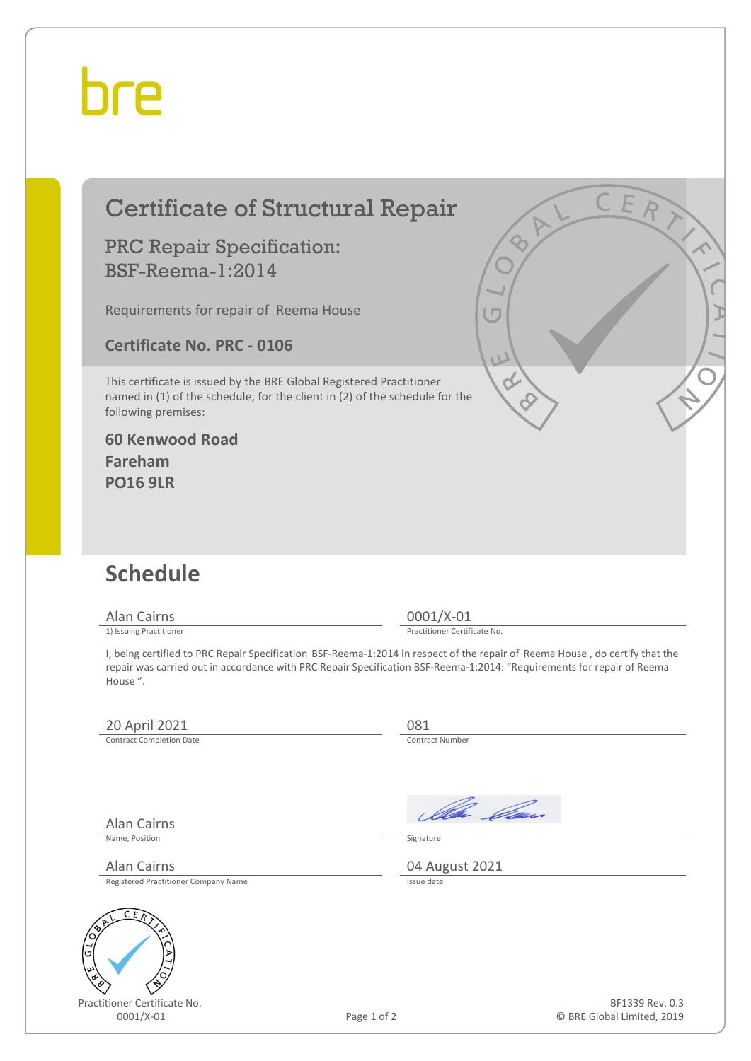# hre

## Certificate of Structural Repair

#### PRC Repair Specification: BSF-Reema-1:2014

Requirements for repair of Reema House

**Certificate No. PRC - 0106**

This certificate is issued by the BRE Global Registered Practitioner named in (1) of the schedule, for the client in (2) of the schedule for the following premises:

#### **60 Kenwood Road Fareham PO16 9LR**

### **Schedule**

Alan Cairns 0001/X-01<br>
1) Issuing Practitioner<br>
1) Issuing Practitioner

Practitioner Certificate No.

I, being certified to PRC Repair Specification BSF-Reema-1:2014 in respect of the repair of Reema House , do certify that the repair was carried out in accordance with PRC Repair Specification BSF-Reema-1:2014: "Requirements for repair of Reema House ".

### 20 April 2021 081<br>
Contract Completion Date

Contract Completion Date

Alan Cairns

Name, Position Signature

Registered Practitioner Company Name



Practitioner Certificate No.

Ila *Ca*n

Alan Cairns 04 August 2021